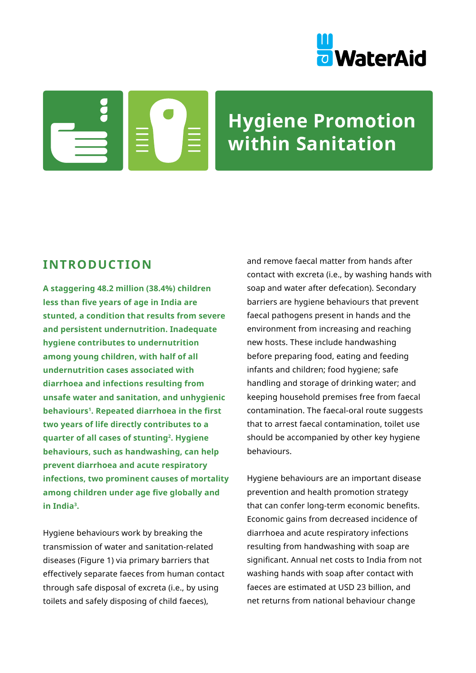

# **Hygiene Promotion within Sanitation**

# **INTRODUCTION**

**A staggering 48.2 million (38.4%) children less than five years of age in India are stunted, a condition that results from severe and persistent undernutrition. Inadequate hygiene contributes to undernutrition among young children, with half of all undernutrition cases associated with diarrhoea and infections resulting from unsafe water and sanitation, and unhygienic behaviours<sup>1</sup>. Repeated diarrhoea in the first two years of life directly contributes to a quarter of all cases of stunting<sup>2</sup>. Hygiene behaviours, such as handwashing, can help prevent diarrhoea and acute respiratory infections, two prominent causes of mortality among children under age five globally and in India3.** 

Hygiene behaviours work by breaking the transmission of water and sanitation-related diseases (Figure 1) via primary barriers that effectively separate faeces from human contact through safe disposal of excreta (i.e., by using toilets and safely disposing of child faeces),

and remove faecal matter from hands after contact with excreta (i.e., by washing hands with soap and water after defecation). Secondary barriers are hygiene behaviours that prevent faecal pathogens present in hands and the environment from increasing and reaching new hosts. These include handwashing before preparing food, eating and feeding infants and children; food hygiene; safe handling and storage of drinking water; and keeping household premises free from faecal contamination. The faecal-oral route suggests that to arrest faecal contamination, toilet use should be accompanied by other key hygiene behaviours.

Hygiene behaviours are an important disease prevention and health promotion strategy that can confer long-term economic benefits. Economic gains from decreased incidence of diarrhoea and acute respiratory infections resulting from handwashing with soap are significant. Annual net costs to India from not washing hands with soap after contact with faeces are estimated at USD 23 billion, and net returns from national behaviour change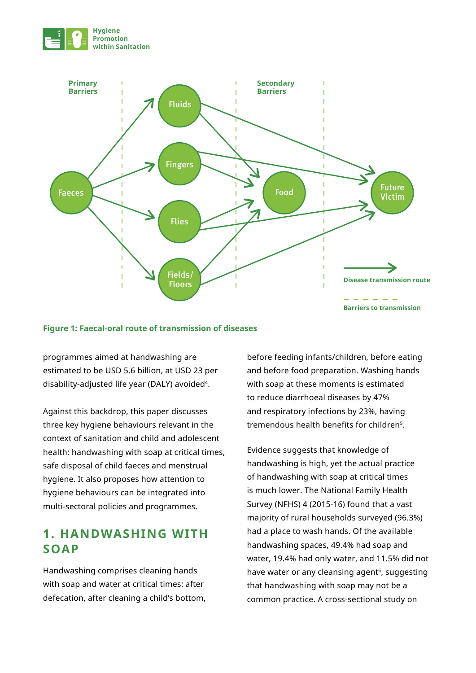



#### **Figure 1: Faecal-oral route of transmission of diseases**

programmes aimed at handwashing are estimated to be USD 5.6 billion, at USD 23 per disability-adjusted life year (DALY) avoided<sup>4</sup>.

Against this backdrop, this paper discusses three key hygiene behaviours relevant in the context of sanitation and child and adolescent health: handwashing with soap at critical times, safe disposal of child faeces and menstrual hygiene. It also proposes how attention to hygiene behaviours can be integrated into multi-sectoral policies and programmes.

# **1. HANDWASHING WITH SOAP**

Handwashing comprises cleaning hands with soap and water at critical times: after defecation, after cleaning a child's bottom,

before feeding infants/children, before eating and before food preparation. Washing hands with soap at these moments is estimated to reduce diarrhoeal diseases by 47% and respiratory infections by 23%, having tremendous health benefits for children<sup>5</sup>.

Evidence suggests that knowledge of handwashing is high, yet the actual practice of handwashing with soap at critical times is much lower. The National Family Health Survey (NFHS) 4 (2015-16) found that a vast majority of rural households surveyed (96.3%) had a place to wash hands. Of the available handwashing spaces, 49.4% had soap and water, 19.4% had only water, and 11.5% did not have water or any cleansing agent<sup>6</sup>, suggesting that handwashing with soap may not be a common practice. A cross-sectional study on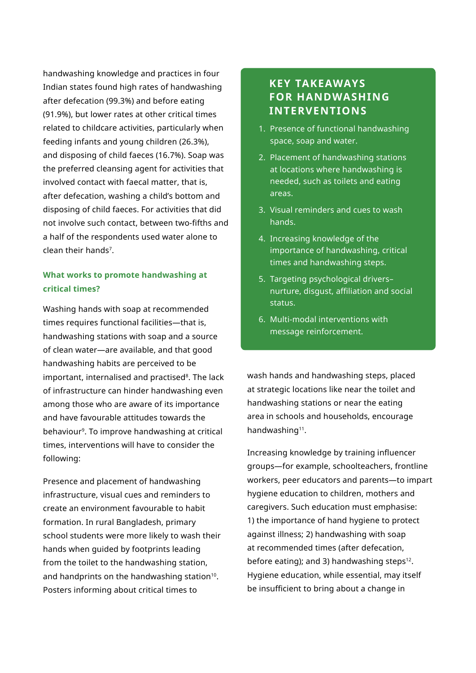handwashing knowledge and practices in four Indian states found high rates of handwashing after defecation (99.3%) and before eating (91.9%), but lower rates at other critical times related to childcare activities, particularly when feeding infants and young children (26.3%), and disposing of child faeces (16.7%). Soap was the preferred cleansing agent for activities that involved contact with faecal matter, that is, after defecation, washing a child's bottom and disposing of child faeces. For activities that did not involve such contact, between two-fifths and a half of the respondents used water alone to clean their hands7.

## **What works to promote handwashing at critical times?**

Washing hands with soap at recommended times requires functional facilities—that is, handwashing stations with soap and a source of clean water—are available, and that good handwashing habits are perceived to be important, internalised and practised<sup>8</sup>. The lack of infrastructure can hinder handwashing even among those who are aware of its importance and have favourable attitudes towards the behaviour9. To improve handwashing at critical times, interventions will have to consider the following:

Presence and placement of handwashing infrastructure, visual cues and reminders to create an environment favourable to habit formation. In rural Bangladesh, primary school students were more likely to wash their hands when guided by footprints leading from the toilet to the handwashing station, and handprints on the handwashing station<sup>10</sup>. Posters informing about critical times to

# **KEY TAKEAWAYS FOR HANDWASHING INTERVENTIONS**

- 1. Presence of functional handwashing space, soap and water.
- 2. Placement of handwashing stations at locations where handwashing is needed, such as toilets and eating areas.
- 3. Visual reminders and cues to wash hands.
- 4. Increasing knowledge of the importance of handwashing, critical times and handwashing steps.
- 5. Targeting psychological drivers– nurture, disgust, affiliation and social status.
- 6. Multi-modal interventions with message reinforcement.

wash hands and handwashing steps, placed at strategic locations like near the toilet and handwashing stations or near the eating area in schools and households, encourage handwashing<sup>11</sup>.

Increasing knowledge by training influencer groups—for example, schoolteachers, frontline workers, peer educators and parents—to impart hygiene education to children, mothers and caregivers. Such education must emphasise: 1) the importance of hand hygiene to protect against illness; 2) handwashing with soap at recommended times (after defecation, before eating); and 3) handwashing steps $12$ . Hygiene education, while essential, may itself be insufficient to bring about a change in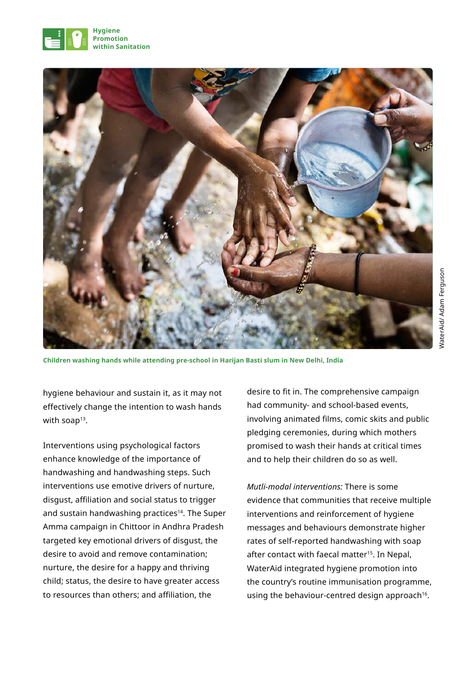



**Children washing hands while attending pre-school in Harijan Basti slum in New Delhi, India**

hygiene behaviour and sustain it, as it may not effectively change the intention to wash hands with soap<sup>13</sup>.

Interventions using psychological factors enhance knowledge of the importance of handwashing and handwashing steps. Such interventions use emotive drivers of nurture, disgust, affiliation and social status to trigger and sustain handwashing practices<sup>14</sup>. The Super Amma campaign in Chittoor in Andhra Pradesh targeted key emotional drivers of disgust, the desire to avoid and remove contamination; nurture, the desire for a happy and thriving child; status, the desire to have greater access to resources than others; and affiliation, the

desire to fit in. The comprehensive campaign had community- and school-based events, involving animated films, comic skits and public pledging ceremonies, during which mothers promised to wash their hands at critical times and to help their children do so as well.

*Mutli-modal interventions:* There is some evidence that communities that receive multiple interventions and reinforcement of hygiene messages and behaviours demonstrate higher rates of self-reported handwashing with soap after contact with faecal matter<sup>15</sup>. In Nepal, WaterAid integrated hygiene promotion into the country's routine immunisation programme, using the behaviour-centred design approach<sup>16</sup>.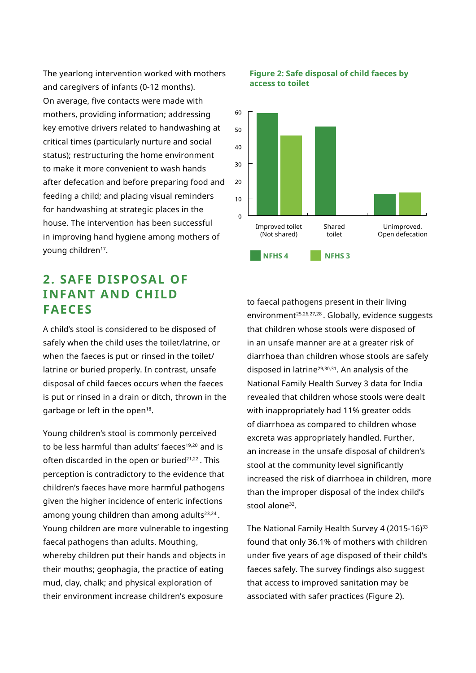The yearlong intervention worked with mothers and caregivers of infants (0-12 months). On average, five contacts were made with mothers, providing information; addressing key emotive drivers related to handwashing at critical times (particularly nurture and social status); restructuring the home environment to make it more convenient to wash hands after defecation and before preparing food and feeding a child; and placing visual reminders for handwashing at strategic places in the house. The intervention has been successful in improving hand hygiene among mothers of voung children<sup>17</sup>.

# **2. SAFE DISPOSAL OF INFANT AND CHILD FAECES**

A child's stool is considered to be disposed of safely when the child uses the toilet/latrine, or when the faeces is put or rinsed in the toilet/ latrine or buried properly. In contrast, unsafe disposal of child faeces occurs when the faeces is put or rinsed in a drain or ditch, thrown in the garbage or left in the open<sup>18</sup>.

Young children's stool is commonly perceived to be less harmful than adults' faeces<sup>19,20</sup> and is often discarded in the open or buried $21,22$ . This perception is contradictory to the evidence that children's faeces have more harmful pathogens given the higher incidence of enteric infections among young children than among adults<sup>23,24</sup>. Young children are more vulnerable to ingesting faecal pathogens than adults. Mouthing, whereby children put their hands and objects in their mouths; geophagia, the practice of eating mud, clay, chalk; and physical exploration of their environment increase children's exposure



#### **Figure 2: Safe disposal of child faeces by access to toilet**

to faecal pathogens present in their living environment<sup>25,26,27,28</sup>. Globally, evidence suggests that children whose stools were disposed of in an unsafe manner are at a greater risk of diarrhoea than children whose stools are safely disposed in latrine<sup>29,30,31</sup>. An analysis of the National Family Health Survey 3 data for India revealed that children whose stools were dealt with inappropriately had 11% greater odds of diarrhoea as compared to children whose excreta was appropriately handled. Further, an increase in the unsafe disposal of children's stool at the community level significantly increased the risk of diarrhoea in children, more than the improper disposal of the index child's stool alone<sup>32</sup>.

The National Family Health Survey 4 (2015-16)<sup>33</sup> found that only 36.1% of mothers with children under five years of age disposed of their child's faeces safely. The survey findings also suggest that access to improved sanitation may be associated with safer practices (Figure 2).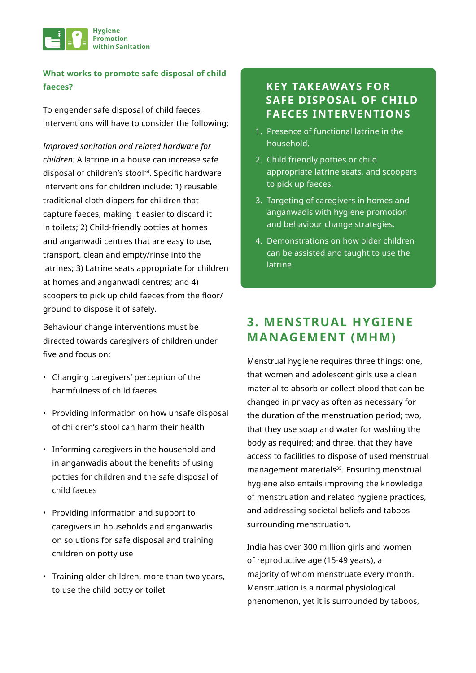

### **What works to promote safe disposal of child faeces?**

To engender safe disposal of child faeces, interventions will have to consider the following:

*Improved sanitation and related hardware for children:* A latrine in a house can increase safe disposal of children's stool<sup>34</sup>. Specific hardware interventions for children include: 1) reusable traditional cloth diapers for children that capture faeces, making it easier to discard it in toilets; 2) Child-friendly potties at homes and anganwadi centres that are easy to use, transport, clean and empty/rinse into the latrines; 3) Latrine seats appropriate for children at homes and anganwadi centres; and 4) scoopers to pick up child faeces from the floor/ ground to dispose it of safely.

Behaviour change interventions must be directed towards caregivers of children under five and focus on:

- Changing caregivers' perception of the harmfulness of child faeces
- Providing information on how unsafe disposal of children's stool can harm their health
- Informing caregivers in the household and in anganwadis about the benefits of using potties for children and the safe disposal of child faeces
- Providing information and support to caregivers in households and anganwadis on solutions for safe disposal and training children on potty use
- Training older children, more than two years, to use the child potty or toilet

# **KEY TAKEAWAYS FOR SAFE DISPOSAL OF CHILD FAECES INTERVENTIONS**

- 1. Presence of functional latrine in the household.
- 2. Child friendly potties or child appropriate latrine seats, and scoopers to pick up faeces.
- 3. Targeting of caregivers in homes and anganwadis with hygiene promotion and behaviour change strategies.
- 4. Demonstrations on how older children can be assisted and taught to use the latrine.

# **3. MENSTRUAL HYGIENE MANAGEMENT (MHM)**

Menstrual hygiene requires three things: one, that women and adolescent girls use a clean material to absorb or collect blood that can be changed in privacy as often as necessary for the duration of the menstruation period; two, that they use soap and water for washing the body as required; and three, that they have access to facilities to dispose of used menstrual management materials<sup>35</sup>. Ensuring menstrual hygiene also entails improving the knowledge of menstruation and related hygiene practices, and addressing societal beliefs and taboos surrounding menstruation.

India has over 300 million girls and women of reproductive age (15-49 years), a majority of whom menstruate every month. Menstruation is a normal physiological phenomenon, yet it is surrounded by taboos,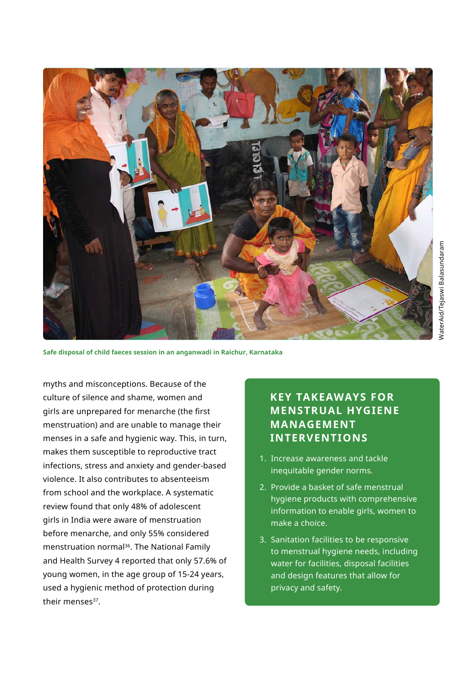

**Safe disposal of child faeces session in an anganwadi in Raichur, Karnataka**

myths and misconceptions. Because of the culture of silence and shame, women and girls are unprepared for menarche (the first menstruation) and are unable to manage their menses in a safe and hygienic way. This, in turn, makes them susceptible to reproductive tract infections, stress and anxiety and gender-based violence. It also contributes to absenteeism from school and the workplace. A systematic review found that only 48% of adolescent girls in India were aware of menstruation before menarche, and only 55% considered menstruation normal<sup>36</sup>. The National Family and Health Survey 4 reported that only 57.6% of young women, in the age group of 15-24 years, used a hygienic method of protection during their menses<sup>37</sup>.

# **KEY TAKEAWAYS FOR MENSTRUAL HYGIENE MANAGEMENT INTERVENTIONS**

- 1. Increase awareness and tackle inequitable gender norms.
- 2. Provide a basket of safe menstrual hygiene products with comprehensive information to enable girls, women to make a choice.
- 3. Sanitation facilities to be responsive to menstrual hygiene needs, including water for facilities, disposal facilities and design features that allow for privacy and safety.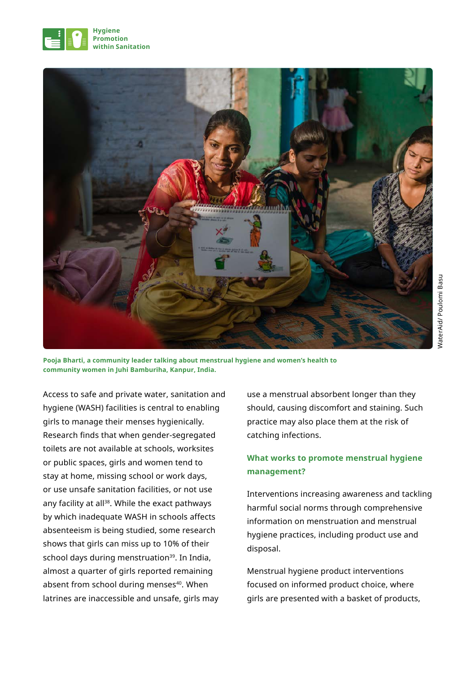



NaterAid/Poulomi Basu WaterAid/ Poulomi Basu

**Pooja Bharti, a community leader talking about menstrual hygiene and women's health to community women in Juhi Bamburiha, Kanpur, India.**

Access to safe and private water, sanitation and hygiene (WASH) facilities is central to enabling girls to manage their menses hygienically. Research finds that when gender-segregated toilets are not available at schools, worksites or public spaces, girls and women tend to stay at home, missing school or work days, or use unsafe sanitation facilities, or not use any facility at all<sup>38</sup>. While the exact pathways by which inadequate WASH in schools affects absenteeism is being studied, some research shows that girls can miss up to 10% of their school days during menstruation<sup>39</sup>. In India, almost a quarter of girls reported remaining absent from school during menses<sup>40</sup>. When latrines are inaccessible and unsafe, girls may

use a menstrual absorbent longer than they should, causing discomfort and staining. Such practice may also place them at the risk of catching infections.

# **What works to promote menstrual hygiene management?**

Interventions increasing awareness and tackling harmful social norms through comprehensive information on menstruation and menstrual hygiene practices, including product use and disposal.

Menstrual hygiene product interventions focused on informed product choice, where girls are presented with a basket of products,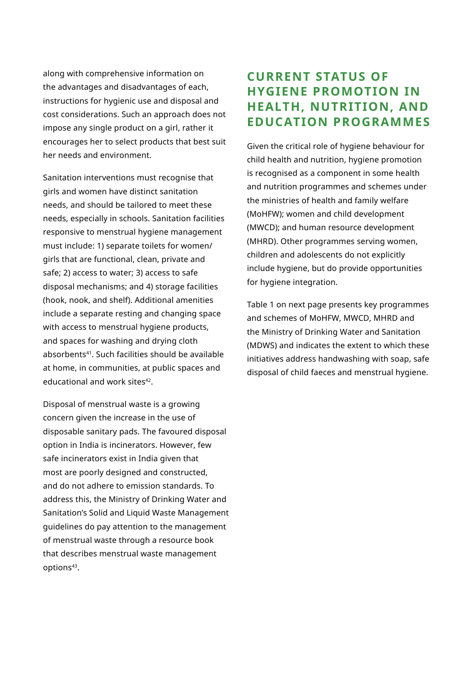along with comprehensive information on the advantages and disadvantages of each, instructions for hygienic use and disposal and cost considerations. Such an approach does not impose any single product on a girl, rather it encourages her to select products that best suit her needs and environment.

Sanitation interventions must recognise that girls and women have distinct sanitation needs, and should be tailored to meet these needs, especially in schools. Sanitation facilities responsive to menstrual hygiene management must include: 1) separate toilets for women/ girls that are functional, clean, private and safe; 2) access to water; 3) access to safe disposal mechanisms; and 4) storage facilities (hook, nook, and shelf). Additional amenities include a separate resting and changing space with access to menstrual hygiene products, and spaces for washing and drying cloth absorbents<sup>41</sup>. Such facilities should be available at home, in communities, at public spaces and educational and work sites<sup>42</sup>.

Disposal of menstrual waste is a growing concern given the increase in the use of disposable sanitary pads. The favoured disposal option in India is incinerators. However, few safe incinerators exist in India given that most are poorly designed and constructed, and do not adhere to emission standards. To address this, the Ministry of Drinking Water and Sanitation's Solid and Liquid Waste Management guidelines do pay attention to the management of menstrual waste through a resource book that describes menstrual waste management options<sup>43</sup>.

# **CURRENT STATUS OF HYGIENE PROMOTION IN HEALTH, NUTRITION, AND EDUCATION PROGRAMMES**

Given the critical role of hygiene behaviour for child health and nutrition, hygiene promotion is recognised as a component in some health and nutrition programmes and schemes under the ministries of health and family welfare (MoHFW); women and child development (MWCD); and human resource development (MHRD). Other programmes serving women, children and adolescents do not explicitly include hygiene, but do provide opportunities for hygiene integration.

Table 1 on next page presents key programmes and schemes of MoHFW, MWCD, MHRD and the Ministry of Drinking Water and Sanitation (MDWS) and indicates the extent to which these initiatives address handwashing with soap, safe disposal of child faeces and menstrual hygiene.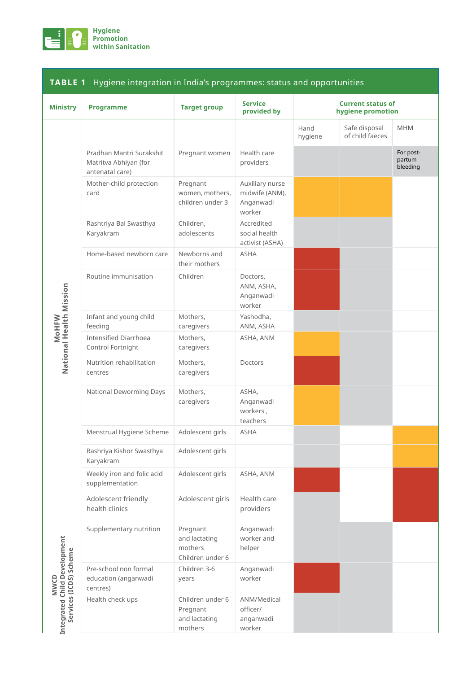

| <b>Ministry</b>                                                       | <b>Programme</b>                                                     | <b>Target group</b>                                      | <b>Service</b><br>provided by                            | <b>Current status of</b><br>hygiene promotion |                                  |                                 |
|-----------------------------------------------------------------------|----------------------------------------------------------------------|----------------------------------------------------------|----------------------------------------------------------|-----------------------------------------------|----------------------------------|---------------------------------|
|                                                                       |                                                                      |                                                          |                                                          | Hand<br>hygiene                               | Safe disposal<br>of child faeces | <b>MHM</b>                      |
| National Health Mission<br><b>M</b> oHFW                              | Pradhan Mantri Surakshit<br>Matritva Abhiyan (for<br>antenatal care) | Pregnant women                                           | Health care<br>providers                                 |                                               |                                  | For post-<br>partum<br>bleeding |
|                                                                       | Mother-child protection<br>card                                      | Pregnant<br>women, mothers,<br>children under 3          | Auxiliary nurse<br>midwife (ANM),<br>Anganwadi<br>worker |                                               |                                  |                                 |
|                                                                       | Rashtriya Bal Swasthya<br>Karyakram                                  | Children,<br>adolescents                                 | Accredited<br>social health<br>activist (ASHA)           |                                               |                                  |                                 |
|                                                                       | Home-based newborn care                                              | Newborns and<br>their mothers                            | <b>ASHA</b>                                              |                                               |                                  |                                 |
|                                                                       | Routine immunisation                                                 | Children                                                 | Doctors,<br>ANM, ASHA,<br>Anganwadi<br>worker            |                                               |                                  |                                 |
|                                                                       | Infant and young child<br>feeding                                    | Mothers,<br>caregivers                                   | Yashodha,<br>ANM, ASHA                                   |                                               |                                  |                                 |
|                                                                       | <b>Intensified Diarrhoea</b><br>Control Fortnight                    | Mothers,<br>caregivers                                   | ASHA, ANM                                                |                                               |                                  |                                 |
|                                                                       | Nutrition rehabilitation<br>centres                                  | Mothers,<br>caregivers                                   | Doctors                                                  |                                               |                                  |                                 |
|                                                                       | National Deworming Days                                              | Mothers,<br>caregivers                                   | ASHA.<br>Anganwadi<br>workers,<br>teachers               |                                               |                                  |                                 |
|                                                                       | Menstrual Hygiene Scheme                                             | Adolescent girls                                         | <b>ASHA</b>                                              |                                               |                                  |                                 |
|                                                                       | Rashriya Kishor Swasthya<br>Karyakram                                | Adolescent girls                                         |                                                          |                                               |                                  |                                 |
|                                                                       | Weekly iron and folic acid<br>supplementation                        | Adolescent girls                                         | ASHA, ANM                                                |                                               |                                  |                                 |
|                                                                       | Adolescent friendly<br>health clinics                                | Adolescent girls                                         | Health care<br>providers                                 |                                               |                                  |                                 |
| Integrated Child Development<br>Services (ICDS) Scheme<br><b>MWCD</b> | Supplementary nutrition                                              | Pregnant<br>and lactating<br>mothers<br>Children under 6 | Anganwadi<br>worker and<br>helper                        |                                               |                                  |                                 |
|                                                                       | Pre-school non formal<br>education (anganwadi<br>centres)            | Children 3-6<br>years                                    | Anganwadi<br>worker                                      |                                               |                                  |                                 |
|                                                                       | Health check ups                                                     | Children under 6<br>Pregnant<br>and lactating<br>mothers | ANM/Medical<br>officer/<br>anganwadi<br>worker           |                                               |                                  |                                 |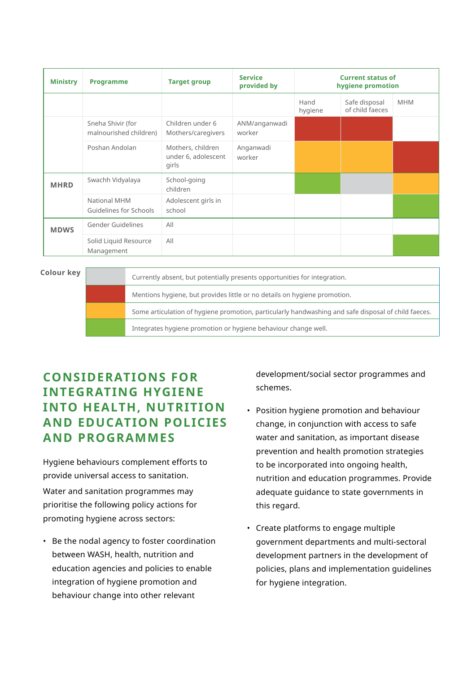| <b>Ministry</b> | <b>Programme</b>                            | <b>Target group</b>                               | <b>Service</b><br>provided by | <b>Current status of</b><br>hygiene promotion |                                  |            |
|-----------------|---------------------------------------------|---------------------------------------------------|-------------------------------|-----------------------------------------------|----------------------------------|------------|
|                 |                                             |                                                   |                               | Hand<br>hygiene                               | Safe disposal<br>of child faeces | <b>MHM</b> |
|                 | Sneha Shivir (for<br>malnourished children) | Children under 6<br>Mothers/caregivers            | ANM/anganwadi<br>worker       |                                               |                                  |            |
|                 | Poshan Andolan                              | Mothers, children<br>under 6, adolescent<br>girls | Anganwadi<br>worker           |                                               |                                  |            |
| <b>MHRD</b>     | Swachh Vidyalaya                            | School-going<br>children                          |                               |                                               |                                  |            |
|                 | National MHM<br>Guidelines for Schools      | Adolescent girls in<br>school                     |                               |                                               |                                  |            |
| <b>MDWS</b>     | Gender Guidelines                           | All                                               |                               |                                               |                                  |            |
|                 | Solid Liquid Resource<br>Management         | All                                               |                               |                                               |                                  |            |

#### **Colour key**

Currently absent, but potentially presents opportunities for integration. Mentions hygiene, but provides little or no details on hygiene promotion. Some articulation of hygiene promotion, particularly handwashing and safe disposal of child faeces. Integrates hygiene promotion or hygiene behaviour change well.

# **CONSIDERATIONS FOR INTEGRATING HYGIENE INTO HEALTH, NUTRITION AND EDUCATION POLICIES AND PROGRAMMES**

Hygiene behaviours complement efforts to provide universal access to sanitation.

Water and sanitation programmes may prioritise the following policy actions for promoting hygiene across sectors:

• Be the nodal agency to foster coordination between WASH, health, nutrition and education agencies and policies to enable integration of hygiene promotion and behaviour change into other relevant

development/social sector programmes and schemes.

- Position hygiene promotion and behaviour change, in conjunction with access to safe water and sanitation, as important disease prevention and health promotion strategies to be incorporated into ongoing health, nutrition and education programmes. Provide adequate guidance to state governments in this regard.
- Create platforms to engage multiple government departments and multi-sectoral development partners in the development of policies, plans and implementation guidelines for hygiene integration.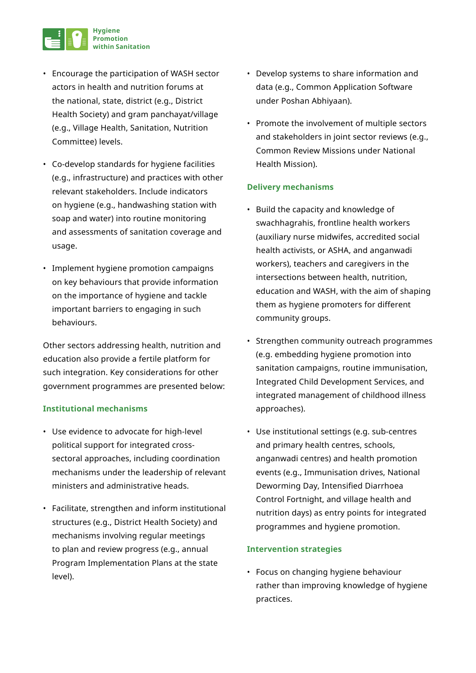

- Encourage the participation of WASH sector actors in health and nutrition forums at the national, state, district (e.g., District Health Society) and gram panchayat/village (e.g., Village Health, Sanitation, Nutrition Committee) levels.
- Co-develop standards for hygiene facilities (e.g., infrastructure) and practices with other relevant stakeholders. Include indicators on hygiene (e.g., handwashing station with soap and water) into routine monitoring and assessments of sanitation coverage and usage.
- Implement hygiene promotion campaigns on key behaviours that provide information on the importance of hygiene and tackle important barriers to engaging in such behaviours.

Other sectors addressing health, nutrition and education also provide a fertile platform for such integration. Key considerations for other government programmes are presented below:

#### **Institutional mechanisms**

- Use evidence to advocate for high-level political support for integrated crosssectoral approaches, including coordination mechanisms under the leadership of relevant ministers and administrative heads.
- Facilitate, strengthen and inform institutional structures (e.g., District Health Society) and mechanisms involving regular meetings to plan and review progress (e.g., annual Program Implementation Plans at the state level).
- Develop systems to share information and data (e.g., Common Application Software under Poshan Abhiyaan).
- Promote the involvement of multiple sectors and stakeholders in joint sector reviews (e.g., Common Review Missions under National Health Mission).

#### **Delivery mechanisms**

- Build the capacity and knowledge of swachhagrahis, frontline health workers (auxiliary nurse midwifes, accredited social health activists, or ASHA, and anganwadi workers), teachers and caregivers in the intersections between health, nutrition, education and WASH, with the aim of shaping them as hygiene promoters for different community groups.
- Strengthen community outreach programmes (e.g. embedding hygiene promotion into sanitation campaigns, routine immunisation, Integrated Child Development Services, and integrated management of childhood illness approaches).
- Use institutional settings (e.g. sub-centres and primary health centres, schools, anganwadi centres) and health promotion events (e.g., Immunisation drives, National Deworming Day, Intensified Diarrhoea Control Fortnight, and village health and nutrition days) as entry points for integrated programmes and hygiene promotion.

#### **Intervention strategies**

• Focus on changing hygiene behaviour rather than improving knowledge of hygiene practices.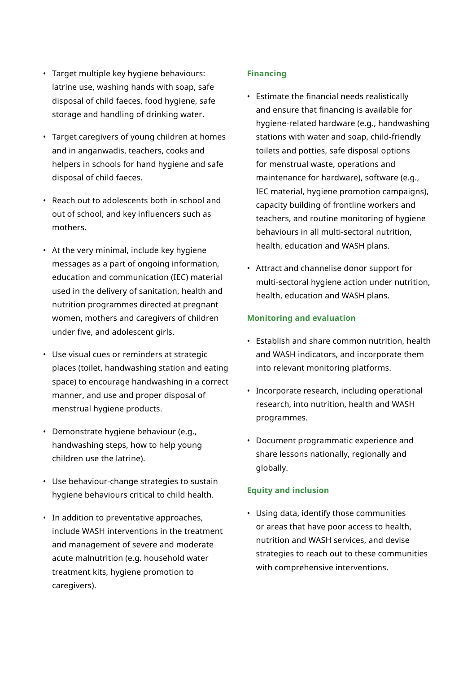- Target multiple key hygiene behaviours: latrine use, washing hands with soap, safe disposal of child faeces, food hygiene, safe storage and handling of drinking water.
- Target caregivers of young children at homes and in anganwadis, teachers, cooks and helpers in schools for hand hygiene and safe disposal of child faeces.
- Reach out to adolescents both in school and out of school, and key influencers such as mothers.
- At the very minimal, include key hygiene messages as a part of ongoing information, education and communication (IEC) material used in the delivery of sanitation, health and nutrition programmes directed at pregnant women, mothers and caregivers of children under five, and adolescent girls.
- Use visual cues or reminders at strategic places (toilet, handwashing station and eating space) to encourage handwashing in a correct manner, and use and proper disposal of menstrual hygiene products.
- Demonstrate hygiene behaviour (e.g., handwashing steps, how to help young children use the latrine).
- Use behaviour-change strategies to sustain hygiene behaviours critical to child health.
- In addition to preventative approaches, include WASH interventions in the treatment and management of severe and moderate acute malnutrition (e.g. household water treatment kits, hygiene promotion to caregivers).

#### **Financing**

- Estimate the financial needs realistically and ensure that financing is available for hygiene-related hardware (e.g., handwashing stations with water and soap, child-friendly toilets and potties, safe disposal options for menstrual waste, operations and maintenance for hardware), software (e.g., IEC material, hygiene promotion campaigns), capacity building of frontline workers and teachers, and routine monitoring of hygiene behaviours in all multi-sectoral nutrition, health, education and WASH plans.
- Attract and channelise donor support for multi-sectoral hygiene action under nutrition, health, education and WASH plans.

#### **Monitoring and evaluation**

- Establish and share common nutrition, health and WASH indicators, and incorporate them into relevant monitoring platforms.
- Incorporate research, including operational research, into nutrition, health and WASH programmes.
- Document programmatic experience and share lessons nationally, regionally and globally.

#### **Equity and inclusion**

• Using data, identify those communities or areas that have poor access to health, nutrition and WASH services, and devise strategies to reach out to these communities with comprehensive interventions.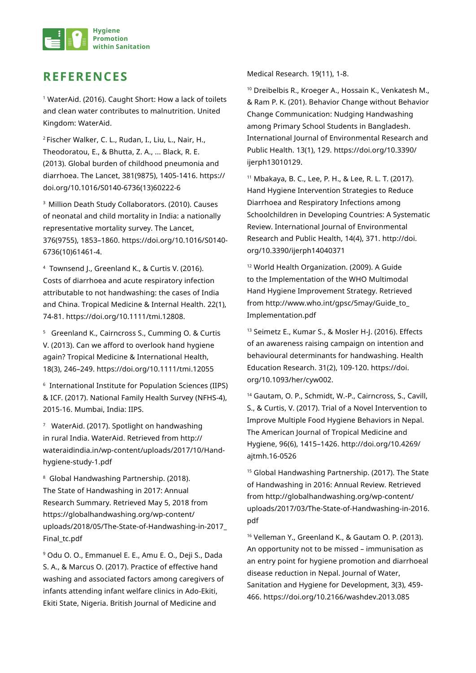

# **REFERENCES**

<sup>1</sup> WaterAid. (2016). Caught Short: How a lack of toilets and clean water contributes to malnutrition. United Kingdom: WaterAid.

<sup>2</sup>Fischer Walker, C. L., Rudan, I., Liu, L., Nair, H., Theodoratou, E., & Bhutta, Z. A., ... Black, R. E. (2013). Global burden of childhood pneumonia and diarrhoea. The Lancet, 381(9875), 1405-1416. https:// doi.org/10.1016/S0140-6736(13)60222-6

<sup>3</sup> Million Death Study Collaborators. (2010). Causes of neonatal and child mortality in India: a nationally representative mortality survey. The Lancet, 376(9755), 1853–1860. https://doi.org/10.1016/S0140- 6736(10)61461-4.

<sup>4</sup> Townsend J., Greenland K., & Curtis V. (2016). Costs of diarrhoea and acute respiratory infection attributable to not handwashing: the cases of India and China. Tropical Medicine & Internal Health. 22(1), 74-81. https://doi.org/10.1111/tmi.12808.

<sup>5</sup> Greenland K., Cairncross S., Cumming O. & Curtis V. (2013). Can we afford to overlook hand hygiene again? Tropical Medicine & International Health, 18(3), 246–249. https://doi.org/10.1111/tmi.12055

<sup>6</sup> International Institute for Population Sciences (IIPS) & ICF. (2017). National Family Health Survey (NFHS-4), 2015-16. Mumbai, India: IIPS.

<sup>7</sup> WaterAid. (2017). Spotlight on handwashing in rural India. WaterAid. Retrieved from http:// wateraidindia.in/wp-content/uploads/2017/10/Handhygiene-study-1.pdf

8 Global Handwashing Partnership. (2018). The State of Handwashing in 2017: Annual Research Summary. Retrieved May 5, 2018 from https://globalhandwashing.org/wp-content/ uploads/2018/05/The-State-of-Handwashing-in-2017\_ Final tc.pdf

<sup>9</sup> Odu O. O., Emmanuel E. E., Amu E. O., Deji S., Dada S. A., & Marcus O. (2017). Practice of effective hand washing and associated factors among caregivers of infants attending infant welfare clinics in Ado-Ekiti, Ekiti State, Nigeria. British Journal of Medicine and

Medical Research. 19(11), 1-8.

<sup>10</sup> Dreibelbis R., Kroeger A., Hossain K., Venkatesh M., & Ram P. K. (201). Behavior Change without Behavior Change Communication: Nudging Handwashing among Primary School Students in Bangladesh. International Journal of Environmental Research and Public Health. 13(1), 129. https://doi.org/10.3390/ ijerph13010129.

<sup>11</sup> Mbakaya, B. C., Lee, P. H., & Lee, R. L. T. (2017). Hand Hygiene Intervention Strategies to Reduce Diarrhoea and Respiratory Infections among Schoolchildren in Developing Countries: A Systematic Review. International Journal of Environmental Research and Public Health, 14(4), 371. http://doi. org/10.3390/ijerph14040371

<sup>12</sup> World Health Organization. (2009). A Guide to the Implementation of the WHO Multimodal Hand Hygiene Improvement Strategy. Retrieved from http://www.who.int/gpsc/5may/Guide\_to\_ Implementation.pdf

13 Seimetz E., Kumar S., & Mosler H-J. (2016). Effects of an awareness raising campaign on intention and behavioural determinants for handwashing. Health Education Research. 31(2), 109-120. https://doi. org/10.1093/her/cyw002.

<sup>14</sup> Gautam, O. P., Schmidt, W.-P., Cairncross, S., Cavill, S., & Curtis, V. (2017). Trial of a Novel Intervention to Improve Multiple Food Hygiene Behaviors in Nepal. The American Journal of Tropical Medicine and Hygiene, 96(6), 1415–1426. http://doi.org/10.4269/ ajtmh.16-0526

<sup>15</sup> Global Handwashing Partnership. (2017). The State of Handwashing in 2016: Annual Review. Retrieved from http://globalhandwashing.org/wp-content/ uploads/2017/03/The-State-of-Handwashing-in-2016. pdf

<sup>16</sup> Velleman Y., Greenland K., & Gautam O. P. (2013). An opportunity not to be missed – immunisation as an entry point for hygiene promotion and diarrhoeal disease reduction in Nepal. Journal of Water, Sanitation and Hygiene for Development, 3(3), 459- 466. https://doi.org/10.2166/washdev.2013.085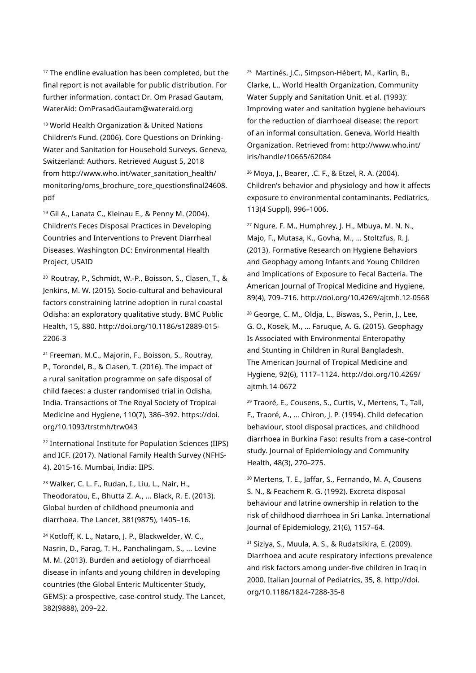<sup>17</sup> The endline evaluation has been completed, but the final report is not available for public distribution. For further information, contact Dr. Om Prasad Gautam, WaterAid: OmPrasadGautam@wateraid.org

18 World Health Organization & United Nations Children's Fund. (2006). Core Questions on Drinking-Water and Sanitation for Household Surveys. Geneva, Switzerland: Authors. Retrieved August 5, 2018 from http://www.who.int/water\_sanitation\_health/ monitoring/oms\_brochure\_core\_questionsfinal24608. pdf

<sup>19</sup> Gil A., Lanata C., Kleinau E., & Penny M. (2004). Children's Feces Disposal Practices in Developing Countries and Interventions to Prevent Diarrheal Diseases. Washington DC: Environmental Health Project, USAID

<sup>20</sup> Routray, P., Schmidt, W.-P., Boisson, S., Clasen, T., & Jenkins, M. W. (2015). Socio-cultural and behavioural factors constraining latrine adoption in rural coastal Odisha: an exploratory qualitative study. BMC Public Health, 15, 880. http://doi.org/10.1186/s12889-015- 2206-3

<sup>21</sup> Freeman, M.C., Majorin, F., Boisson, S., Routray, P., Torondel, B., & Clasen, T. (2016). The impact of a rural sanitation programme on safe disposal of child faeces: a cluster randomised trial in Odisha, India. Transactions of The Royal Society of Tropical Medicine and Hygiene, 110(7), 386–392. https://doi. org/10.1093/trstmh/trw043

<sup>22</sup> International Institute for Population Sciences (IIPS) and ICF. (2017). National Family Health Survey (NFHS-4), 2015-16. Mumbai, India: IIPS.

<sup>23</sup> Walker, C. L. F., Rudan, I., Liu, L., Nair, H., Theodoratou, E., Bhutta Z. A., ... Black, R. E. (2013). Global burden of childhood pneumonia and diarrhoea. The Lancet, 381(9875), 1405–16.

<sup>24</sup> Kotloff, K. L., Nataro, J. P., Blackwelder, W. C., Nasrin, D., Farag, T. H., Panchalingam, S., ... Levine M. M. (2013). Burden and aetiology of diarrhoeal disease in infants and young children in developing countries (the Global Enteric Multicenter Study, GEMS): a prospective, case-control study. The Lancet, 382(9888), 209–22.

<sup>25</sup> Martinés, J.C., Simpson-Hébert, M., Karlin, B., Clarke, L., World Health Organization, Community Water Supply and Sanitation Unit. et al. (1993). Improving water and sanitation hygiene behaviours for the reduction of diarrhoeal disease: the report of an informal consultation. Geneva, World Health Organization. Retrieved from: http://www.who.int/ iris/handle/10665/62084

<sup>26</sup> Moya, J., Bearer, .C. F., & Etzel, R. A. (2004). Children's behavior and physiology and how it affects exposure to environmental contaminants. Pediatrics, 113(4 Suppl), 996–1006.

<sup>27</sup> Ngure, F. M., Humphrey, J. H., Mbuya, M. N. N., Majo, F., Mutasa, K., Govha, M., … Stoltzfus, R. J. (2013). Formative Research on Hygiene Behaviors and Geophagy among Infants and Young Children and Implications of Exposure to Fecal Bacteria. The American Journal of Tropical Medicine and Hygiene, 89(4), 709–716. http://doi.org/10.4269/ajtmh.12-0568

<sup>28</sup> George, C. M., Oldja, L., Biswas, S., Perin, J., Lee, G. O., Kosek, M., … Faruque, A. G. (2015). Geophagy Is Associated with Environmental Enteropathy and Stunting in Children in Rural Bangladesh. The American Journal of Tropical Medicine and Hygiene, 92(6), 1117–1124. http://doi.org/10.4269/ ajtmh.14-0672

<sup>29</sup> Traoré, E., Cousens, S., Curtis, V., Mertens, T., Tall, F., Traoré, A., … Chiron, J. P. (1994). Child defecation behaviour, stool disposal practices, and childhood diarrhoea in Burkina Faso: results from a case-control study. Journal of Epidemiology and Community Health, 48(3), 270–275.

<sup>30</sup> Mertens, T. E., Jaffar, S., Fernando, M. A, Cousens S. N., & Feachem R. G. (1992). Excreta disposal behaviour and latrine ownership in relation to the risk of childhood diarrhoea in Sri Lanka. International Journal of Epidemiology, 21(6), 1157–64.

<sup>31</sup> Siziya, S., Muula, A. S., & Rudatsikira, E. (2009). Diarrhoea and acute respiratory infections prevalence and risk factors among under-five children in Iraq in 2000. Italian Journal of Pediatrics, 35, 8. http://doi. org/10.1186/1824-7288-35-8